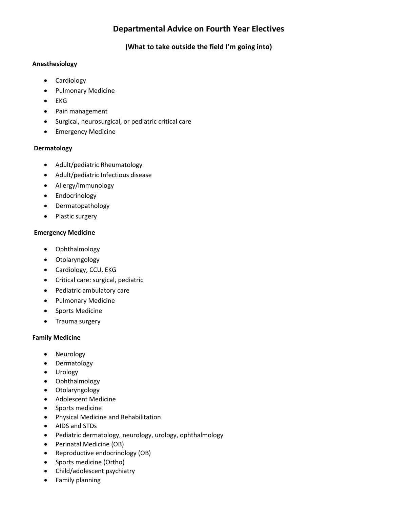# **Departmental Advice on Fourth Year Electives**

## **(What to take outside the field I'm going into)**

#### **Anesthesiology**

- Cardiology
- Pulmonary Medicine
- EKG
- Pain management
- Surgical, neurosurgical, or pediatric critical care
- Emergency Medicine

#### **Dermatology**

- Adult/pediatric Rheumatology
- Adult/pediatric Infectious disease
- Allergy/immunology
- Endocrinology
- Dermatopathology
- Plastic surgery

#### **Emergency Medicine**

- Ophthalmology
- Otolaryngology
- Cardiology, CCU, EKG
- Critical care: surgical, pediatric
- Pediatric ambulatory care
- Pulmonary Medicine
- Sports Medicine
- Trauma surgery

## **Family Medicine**

- Neurology
- Dermatology
- Urology
- Ophthalmology
- Otolaryngology
- Adolescent Medicine
- Sports medicine
- Physical Medicine and Rehabilitation
- AIDS and STDs
- Pediatric dermatology, neurology, urology, ophthalmology
- Perinatal Medicine (OB)
- Reproductive endocrinology (OB)
- Sports medicine (Ortho)
- Child/adolescent psychiatry
- Family planning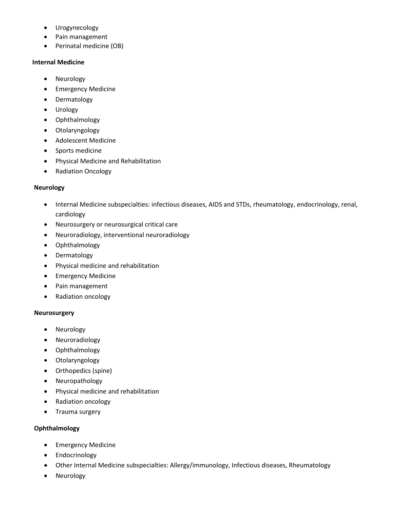- Urogynecology
- Pain management
- Perinatal medicine (OB)

#### **Internal Medicine**

- Neurology
- Emergency Medicine
- Dermatology
- Urology
- Ophthalmology
- Otolaryngology
- Adolescent Medicine
- Sports medicine
- Physical Medicine and Rehabilitation
- Radiation Oncology

#### **Neurology**

- Internal Medicine subspecialties: infectious diseases, AIDS and STDs, rheumatology, endocrinology, renal, cardiology
- Neurosurgery or neurosurgical critical care
- Neuroradiology, interventional neuroradiology
- Ophthalmology
- Dermatology
- Physical medicine and rehabilitation
- Emergency Medicine
- Pain management
- Radiation oncology

#### **Neurosurgery**

- Neurology
- Neuroradiology
- Ophthalmology
- Otolaryngology
- Orthopedics (spine)
- Neuropathology
- Physical medicine and rehabilitation
- Radiation oncology
- Trauma surgery

#### **Ophthalmology**

- Emergency Medicine
- Endocrinology
- Other Internal Medicine subspecialties: Allergy/immunology, Infectious diseases, Rheumatology
- Neurology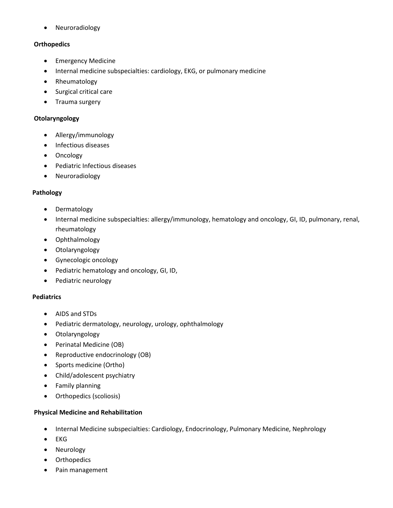• Neuroradiology

#### **Orthopedics**

- Emergency Medicine
- Internal medicine subspecialties: cardiology, EKG, or pulmonary medicine
- Rheumatology
- Surgical critical care
- Trauma surgery

#### **Otolaryngology**

- Allergy/immunology
- Infectious diseases
- Oncology
- Pediatric Infectious diseases
- Neuroradiology

## **Pathology**

- Dermatology
- Internal medicine subspecialties: allergy/immunology, hematology and oncology, GI, ID, pulmonary, renal, rheumatology
- Ophthalmology
- **Otolaryngology**
- Gynecologic oncology
- Pediatric hematology and oncology, GI, ID,
- Pediatric neurology

## **Pediatrics**

- AIDS and STDs
- Pediatric dermatology, neurology, urology, ophthalmology
- Otolaryngology
- Perinatal Medicine (OB)
- Reproductive endocrinology (OB)
- Sports medicine (Ortho)
- Child/adolescent psychiatry
- Family planning
- Orthopedics (scoliosis)

## **Physical Medicine and Rehabilitation**

- Internal Medicine subspecialties: Cardiology, Endocrinology, Pulmonary Medicine, Nephrology
- EKG
- Neurology
- Orthopedics
- Pain management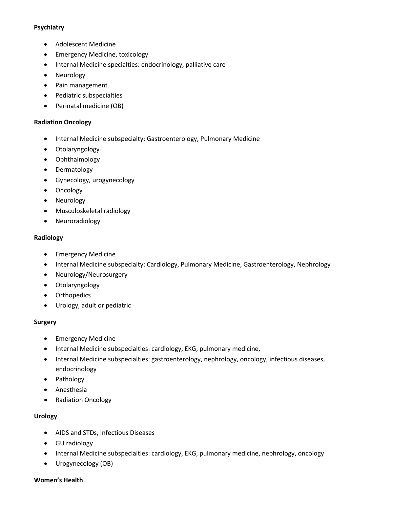#### **Psychiatry**

- Adolescent Medicine
- Emergency Medicine, toxicology
- Internal Medicine specialties: endocrinology, palliative care
- Neurology
- Pain management
- Pediatric subspecialties
- Perinatal medicine (OB)

#### **Radiation Oncology**

- Internal Medicine subspecialty: Gastroenterology, Pulmonary Medicine
- Otolaryngology
- Ophthalmology
- Dermatology
- Gynecology, urogynecology
- Oncology
- Neurology
- Musculoskeletal radiology
- Neuroradiology

#### **Radiology**

- Emergency Medicine
- Internal Medicine subspecialty: Cardiology, Pulmonary Medicine, Gastroenterology, Nephrology
- Neurology/Neurosurgery
- Otolaryngology
- Orthopedics
- Urology, adult or pediatric

## **Surgery**

- Emergency Medicine
- Internal Medicine subspecialties: cardiology, EKG, pulmonary medicine,
- Internal Medicine subspecialties: gastroenterology, nephrology, oncology, infectious diseases, endocrinology
- Pathology
- Anesthesia
- Radiation Oncology

## **Urology**

- AIDS and STDs, Infectious Diseases
- GU radiology
- Internal Medicine subspecialties: cardiology, EKG, pulmonary medicine, nephrology, oncology
- Urogynecology (OB)

#### **Women's Health**